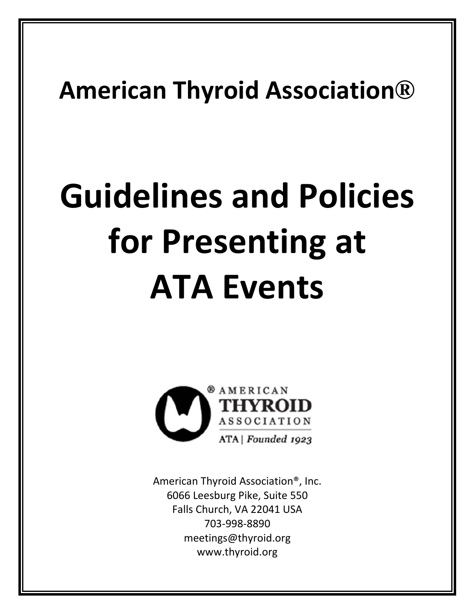## **American Thyroid Association®**

# **Guidelines and Policies for Presenting at ATA Events**



American Thyroid Association®, Inc. 6066 Leesburg Pike, Suite 550 Falls Church, VA 22041 USA 703‐998‐8890 meetings@thyroid.org www.thyroid.org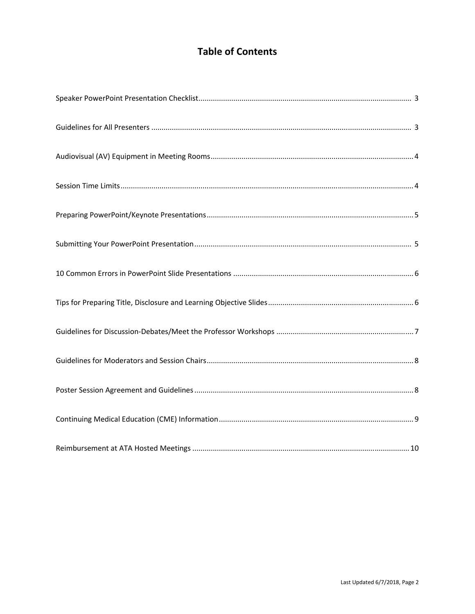### **Table of Contents**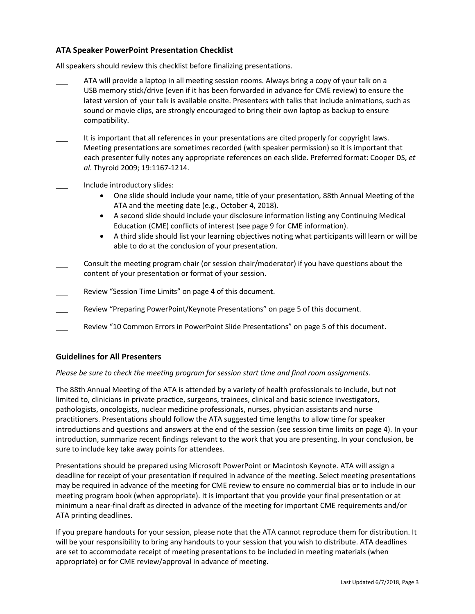#### **ATA Speaker PowerPoint Presentation Checklist**

All speakers should review this checklist before finalizing presentations.

- ATA will provide a laptop in all meeting session rooms. Always bring a copy of your talk on a USB memory stick/drive (even if it has been forwarded in advance for CME review) to ensure the latest version of your talk is available onsite. Presenters with talks that include animations, such as sound or movie clips, are strongly encouraged to bring their own laptop as backup to ensure compatibility.
- It is important that all references in your presentations are cited properly for copyright laws. Meeting presentations are sometimes recorded (with speaker permission) so it is important that each presenter fully notes any appropriate references on each slide. Preferred format: Cooper DS, *et al*. Thyroid 2009; 19:1167‐1214.
- Include introductory slides:
	- One slide should include your name, title of your presentation, 88th Annual Meeting of the ATA and the meeting date (e.g., October 4, 2018).
	- A second slide should include your disclosure information listing any Continuing Medical Education (CME) conflicts of interest (see page 9 for CME information).
	- A third slide should list your learning objectives noting what participants will learn or will be able to do at the conclusion of your presentation.
- Consult the meeting program chair (or session chair/moderator) if you have questions about the content of your presentation or format of your session.
- Review "Session Time Limits" on page 4 of this document.
- Review "Preparing PowerPoint/Keynote Presentations" on page 5 of this document.
- Review "10 Common Errors in PowerPoint Slide Presentations" on page 5 of this document.

#### **Guidelines for All Presenters**

#### *Please be sure to check the meeting program for session start time and final room assignments.*

The 88th Annual Meeting of the ATA is attended by a variety of health professionals to include, but not limited to, clinicians in private practice, surgeons, trainees, clinical and basic science investigators, pathologists, oncologists, nuclear medicine professionals, nurses, physician assistants and nurse practitioners. Presentations should follow the ATA suggested time lengths to allow time for speaker introductions and questions and answers at the end of the session (see session time limits on page 4). In your introduction, summarize recent findings relevant to the work that you are presenting. In your conclusion, be sure to include key take away points for attendees.

Presentations should be prepared using Microsoft PowerPoint or Macintosh Keynote. ATA will assign a deadline for receipt of your presentation if required in advance of the meeting. Select meeting presentations may be required in advance of the meeting for CME review to ensure no commercial bias or to include in our meeting program book (when appropriate). It is important that you provide your final presentation or at minimum a near‐final draft as directed in advance of the meeting for important CME requirements and/or ATA printing deadlines.

If you prepare handouts for your session, please note that the ATA cannot reproduce them for distribution. It will be your responsibility to bring any handouts to your session that you wish to distribute. ATA deadlines are set to accommodate receipt of meeting presentations to be included in meeting materials (when appropriate) or for CME review/approval in advance of meeting.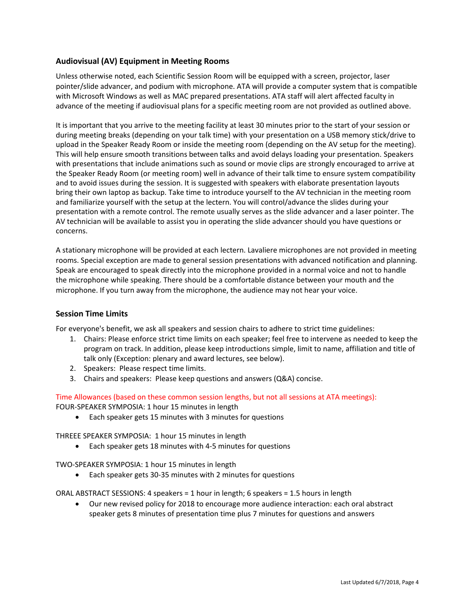#### **Audiovisual (AV) Equipment in Meeting Rooms**

Unless otherwise noted, each Scientific Session Room will be equipped with a screen, projector, laser pointer/slide advancer, and podium with microphone. ATA will provide a computer system that is compatible with Microsoft Windows as well as MAC prepared presentations. ATA staff will alert affected faculty in advance of the meeting if audiovisual plans for a specific meeting room are not provided as outlined above.

It is important that you arrive to the meeting facility at least 30 minutes prior to the start of your session or during meeting breaks (depending on your talk time) with your presentation on a USB memory stick/drive to upload in the Speaker Ready Room or inside the meeting room (depending on the AV setup for the meeting). This will help ensure smooth transitions between talks and avoid delays loading your presentation. Speakers with presentations that include animations such as sound or movie clips are strongly encouraged to arrive at the Speaker Ready Room (or meeting room) well in advance of their talk time to ensure system compatibility and to avoid issues during the session. It is suggested with speakers with elaborate presentation layouts bring their own laptop as backup. Take time to introduce yourself to the AV technician in the meeting room and familiarize yourself with the setup at the lectern. You will control/advance the slides during your presentation with a remote control. The remote usually serves as the slide advancer and a laser pointer. The AV technician will be available to assist you in operating the slide advancer should you have questions or concerns.

A stationary microphone will be provided at each lectern. Lavaliere microphones are not provided in meeting rooms. Special exception are made to general session presentations with advanced notification and planning. Speak are encouraged to speak directly into the microphone provided in a normal voice and not to handle the microphone while speaking. There should be a comfortable distance between your mouth and the microphone. If you turn away from the microphone, the audience may not hear your voice.

#### **Session Time Limits**

For everyone's benefit, we ask all speakers and session chairs to adhere to strict time guidelines:

- 1. Chairs: Please enforce strict time limits on each speaker; feel free to intervene as needed to keep the program on track. In addition, please keep introductions simple, limit to name, affiliation and title of talk only (Exception: plenary and award lectures, see below).
- 2. Speakers: Please respect time limits.
- 3. Chairs and speakers: Please keep questions and answers (Q&A) concise.

Time Allowances (based on these common session lengths, but not all sessions at ATA meetings): FOUR‐SPEAKER SYMPOSIA: 1 hour 15 minutes in length

Each speaker gets 15 minutes with 3 minutes for questions

THREEE SPEAKER SYMPOSIA: 1 hour 15 minutes in length

Each speaker gets 18 minutes with 4‐5 minutes for questions

TWO‐SPEAKER SYMPOSIA: 1 hour 15 minutes in length

Each speaker gets 30‐35 minutes with 2 minutes for questions

ORAL ABSTRACT SESSIONS: 4 speakers = 1 hour in length; 6 speakers = 1.5 hours in length

 Our new revised policy for 2018 to encourage more audience interaction: each oral abstract speaker gets 8 minutes of presentation time plus 7 minutes for questions and answers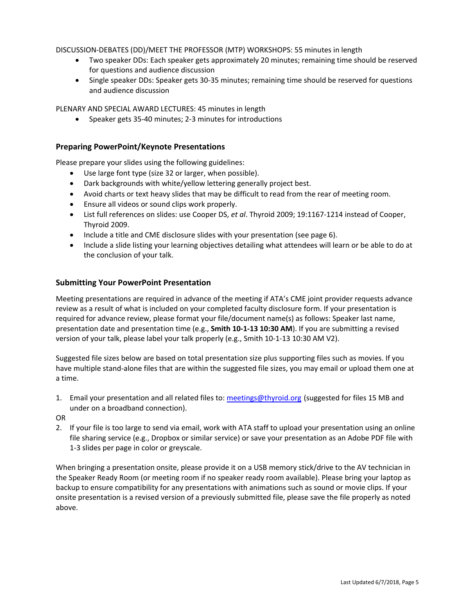DISCUSSION‐DEBATES (DD)/MEET THE PROFESSOR (MTP) WORKSHOPS: 55 minutes in length

- Two speaker DDs: Each speaker gets approximately 20 minutes; remaining time should be reserved for questions and audience discussion
- Single speaker DDs: Speaker gets 30-35 minutes; remaining time should be reserved for questions and audience discussion

PLENARY AND SPECIAL AWARD LECTURES: 45 minutes in length

Speaker gets 35‐40 minutes; 2‐3 minutes for introductions

#### **Preparing PowerPoint/Keynote Presentations**

Please prepare your slides using the following guidelines:

- Use large font type (size 32 or larger, when possible).
- Dark backgrounds with white/yellow lettering generally project best.
- Avoid charts or text heavy slides that may be difficult to read from the rear of meeting room.
- Ensure all videos or sound clips work properly.
- List full references on slides: use Cooper DS, *et al*. Thyroid 2009; 19:1167‐1214 instead of Cooper, Thyroid 2009.
- Include a title and CME disclosure slides with your presentation (see page 6).
- Include a slide listing your learning objectives detailing what attendees will learn or be able to do at the conclusion of your talk.

#### **Submitting Your PowerPoint Presentation**

Meeting presentations are required in advance of the meeting if ATA's CME joint provider requests advance review as a result of what is included on your completed faculty disclosure form. If your presentation is required for advance review, please format your file/document name(s) as follows: Speaker last name, presentation date and presentation time (e.g., **Smith 10‐1‐13 10:30 AM**). If you are submitting a revised version of your talk, please label your talk properly (e.g., Smith 10‐1‐13 10:30 AM V2).

Suggested file sizes below are based on total presentation size plus supporting files such as movies. If you have multiple stand-alone files that are within the suggested file sizes, you may email or upload them one at a time.

1. Email your presentation and all related files to: meetings@thyroid.org (suggested for files 15 MB and under on a broadband connection).

OR

2. If your file is too large to send via email, work with ATA staff to upload your presentation using an online file sharing service (e.g., Dropbox or similar service) or save your presentation as an Adobe PDF file with 1‐3 slides per page in color or greyscale.

When bringing a presentation onsite, please provide it on a USB memory stick/drive to the AV technician in the Speaker Ready Room (or meeting room if no speaker ready room available). Please bring your laptop as backup to ensure compatibility for any presentations with animations such as sound or movie clips. If your onsite presentation is a revised version of a previously submitted file, please save the file properly as noted above.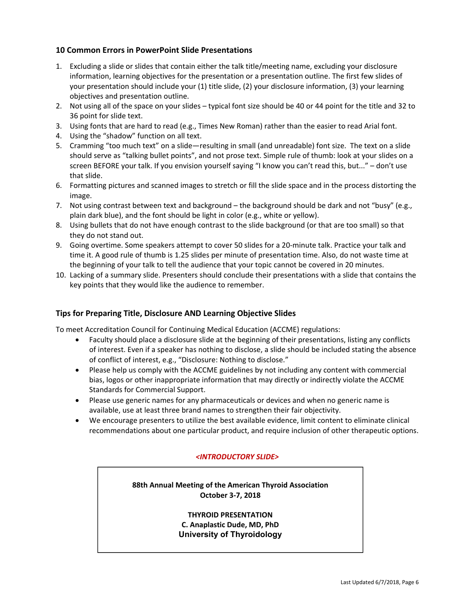#### **10 Common Errors in PowerPoint Slide Presentations**

- 1. Excluding a slide or slides that contain either the talk title/meeting name, excluding your disclosure information, learning objectives for the presentation or a presentation outline. The first few slides of your presentation should include your (1) title slide, (2) your disclosure information, (3) your learning objectives and presentation outline.
- 2. Not using all of the space on your slides typical font size should be 40 or 44 point for the title and 32 to 36 point for slide text.
- 3. Using fonts that are hard to read (e.g., Times New Roman) rather than the easier to read Arial font.
- 4. Using the "shadow" function on all text.

- 5. Cramming "too much text" on a slide—resulting in small (and unreadable) font size. The text on a slide should serve as "talking bullet points", and not prose text. Simple rule of thumb: look at your slides on a screen BEFORE your talk. If you envision yourself saying "I know you can't read this, but..." – don't use that slide.
- 6. Formatting pictures and scanned images to stretch or fill the slide space and in the process distorting the image.
- 7. Not using contrast between text and background the background should be dark and not "busy" (e.g., plain dark blue), and the font should be light in color (e.g., white or yellow).
- 8. Using bullets that do not have enough contrast to the slide background (or that are too small) so that they do not stand out.
- 9. Going overtime. Some speakers attempt to cover 50 slides for a 20-minute talk. Practice your talk and time it. A good rule of thumb is 1.25 slides per minute of presentation time. Also, do not waste time at the beginning of your talk to tell the audience that your topic cannot be covered in 20 minutes.
- 10. Lacking of a summary slide. Presenters should conclude their presentations with a slide that contains the key points that they would like the audience to remember.

#### **Tips for Preparing Title, Disclosure AND Learning Objective Slides**

To meet Accreditation Council for Continuing Medical Education (ACCME) regulations:

- Faculty should place a disclosure slide at the beginning of their presentations, listing any conflicts of interest. Even if a speaker has nothing to disclose, a slide should be included stating the absence of conflict of interest, e.g., "Disclosure: Nothing to disclose."
- Please help us comply with the ACCME guidelines by not including any content with commercial bias, logos or other inappropriate information that may directly or indirectly violate the ACCME Standards for Commercial Support.
- Please use generic names for any pharmaceuticals or devices and when no generic name is available, use at least three brand names to strengthen their fair objectivity.
- We encourage presenters to utilize the best available evidence, limit content to eliminate clinical recommendations about one particular product, and require inclusion of other therapeutic options.

#### *<INTRODUCTORY SLIDE>*

**88th Annual Meeting of the American Thyroid Association October 3‐7, 2018** 

> **THYROID PRESENTATION C. Anaplastic Dude, MD, PhD University of Thyroidology**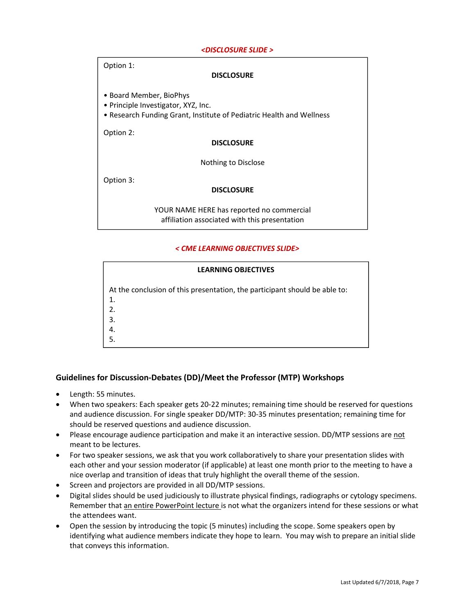#### *<DISCLOSURE SLIDE >*

| Option 1:<br><b>DISCLOSURE</b>                                                                                                         |
|----------------------------------------------------------------------------------------------------------------------------------------|
| • Board Member, BioPhys<br>• Principle Investigator, XYZ, Inc.<br>• Research Funding Grant, Institute of Pediatric Health and Wellness |
| Option 2:                                                                                                                              |
| <b>DISCLOSURE</b>                                                                                                                      |
| Nothing to Disclose                                                                                                                    |
| Option 3:                                                                                                                              |
| <b>DISCLOSURE</b>                                                                                                                      |
| YOUR NAME HERE has reported no commercial<br>affiliation associated with this presentation                                             |

#### *< CME LEARNING OBJECTIVES SLIDE>*

| <b>LEARNING OBJECTIVES</b>                                                 |
|----------------------------------------------------------------------------|
| At the conclusion of this presentation, the participant should be able to: |
| 1.                                                                         |
| 2.                                                                         |
| 3.                                                                         |
|                                                                            |
|                                                                            |

#### **Guidelines for Discussion‐Debates (DD)/Meet the Professor (MTP) Workshops**

- Length: 55 minutes.
- When two speakers: Each speaker gets 20‐22 minutes; remaining time should be reserved for questions and audience discussion. For single speaker DD/MTP: 30‐35 minutes presentation; remaining time for should be reserved questions and audience discussion.
- Please encourage audience participation and make it an interactive session. DD/MTP sessions are not meant to be lectures.
- For two speaker sessions, we ask that you work collaboratively to share your presentation slides with each other and your session moderator (if applicable) at least one month prior to the meeting to have a nice overlap and transition of ideas that truly highlight the overall theme of the session.
- Screen and projectors are provided in all DD/MTP sessions.
- Digital slides should be used judiciously to illustrate physical findings, radiographs or cytology specimens. Remember that an entire PowerPoint lecture is not what the organizers intend for these sessions or what the attendees want.
- Open the session by introducing the topic (5 minutes) including the scope. Some speakers open by identifying what audience members indicate they hope to learn. You may wish to prepare an initial slide that conveys this information.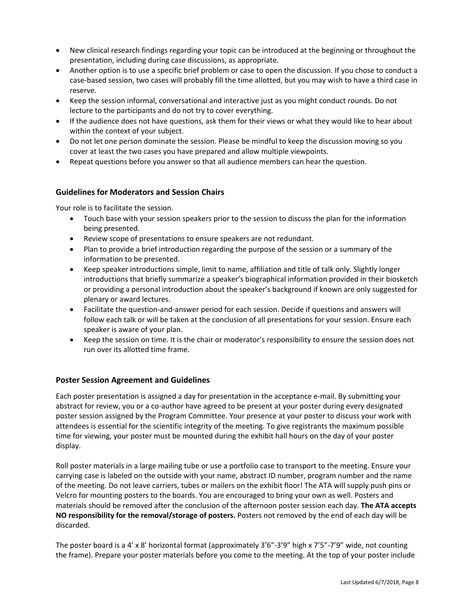- New clinical research findings regarding your topic can be introduced at the beginning or throughout the presentation, including during case discussions, as appropriate.
- Another option is to use a specific brief problem or case to open the discussion. If you chose to conduct a case‐based session, two cases will probably fill the time allotted, but you may wish to have a third case in reserve.
- Keep the session informal, conversational and interactive just as you might conduct rounds. Do not lecture to the participants and do not try to cover everything.
- If the audience does not have questions, ask them for their views or what they would like to hear about within the context of your subject.
- Do not let one person dominate the session. Please be mindful to keep the discussion moving so you cover at least the two cases you have prepared and allow multiple viewpoints.
- Repeat questions before you answer so that all audience members can hear the question.

#### **Guidelines for Moderators and Session Chairs**

Your role is to facilitate the session.

- Touch base with your session speakers prior to the session to discuss the plan for the information being presented.
- Review scope of presentations to ensure speakers are not redundant.
- Plan to provide a brief introduction regarding the purpose of the session or a summary of the information to be presented.
- Keep speaker introductions simple, limit to name, affiliation and title of talk only. Slightly longer introductions that briefly summarize a speaker's biographical information provided in their biosketch or providing a personal introduction about the speaker's background if known are only suggested for plenary or award lectures.
- Facilitate the question‐and‐answer period for each session. Decide if questions and answers will follow each talk or will be taken at the conclusion of all presentations for your session. Ensure each speaker is aware of your plan.
- Keep the session on time. It is the chair or moderator's responsibility to ensure the session does not run over its allotted time frame.

#### **Poster Session Agreement and Guidelines**

Each poster presentation is assigned a day for presentation in the acceptance e‐mail. By submitting your abstract for review, you or a co-author have agreed to be present at your poster during every designated poster session assigned by the Program Committee. Your presence at your poster to discuss your work with attendees is essential for the scientific integrity of the meeting. To give registrants the maximum possible time for viewing, your poster must be mounted during the exhibit hall hours on the day of your poster display.

Roll poster materials in a large mailing tube or use a portfolio case to transport to the meeting. Ensure your carrying case is labeled on the outside with your name, abstract ID number, program number and the name of the meeting. Do not leave carriers, tubes or mailers on the exhibit floor! The ATA will supply push pins or Velcro for mounting posters to the boards. You are encouraged to bring your own as well. Posters and materials should be removed after the conclusion of the afternoon poster session each day. **The ATA accepts NO responsibility for the removal/storage of posters.** Posters not removed by the end of each day will be discarded.

The poster board is a 4' x 8' horizontal format (approximately 3'6"‐3'9" high x 7'5"‐7'9" wide, not counting the frame). Prepare your poster materials before you come to the meeting. At the top of your poster include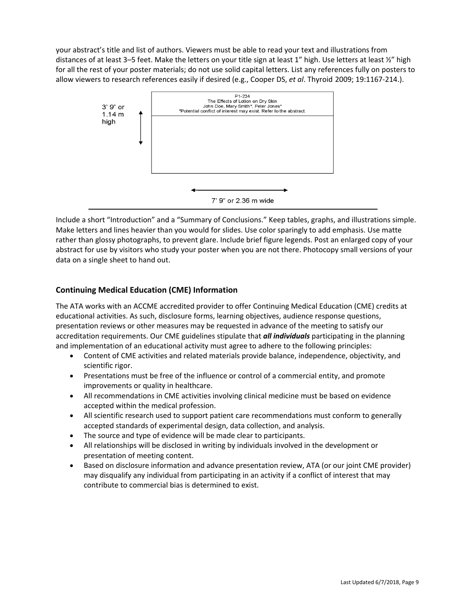your abstract's title and list of authors. Viewers must be able to read your text and illustrations from distances of at least 3–5 feet. Make the letters on your title sign at least 1" high. Use letters at least 1/2" high for all the rest of your poster materials; do not use solid capital letters. List any references fully on posters to allow viewers to research references easily if desired (e.g., Cooper DS, *et al*. Thyroid 2009; 19:1167‐214.).



Include a short "Introduction" and a "Summary of Conclusions." Keep tables, graphs, and illustrations simple. Make letters and lines heavier than you would for slides. Use color sparingly to add emphasis. Use matte rather than glossy photographs, to prevent glare. Include brief figure legends. Post an enlarged copy of your abstract for use by visitors who study your poster when you are not there. Photocopy small versions of your data on a single sheet to hand out.

#### **Continuing Medical Education (CME) Information**

The ATA works with an ACCME accredited provider to offer Continuing Medical Education (CME) credits at educational activities. As such, disclosure forms, learning objectives, audience response questions, presentation reviews or other measures may be requested in advance of the meeting to satisfy our accreditation requirements. Our CME guidelines stipulate that *all individuals* participating in the planning and implementation of an educational activity must agree to adhere to the following principles:

- Content of CME activities and related materials provide balance, independence, objectivity, and scientific rigor.
- Presentations must be free of the influence or control of a commercial entity, and promote improvements or quality in healthcare.
- All recommendations in CME activities involving clinical medicine must be based on evidence accepted within the medical profession.
- All scientific research used to support patient care recommendations must conform to generally accepted standards of experimental design, data collection, and analysis.
- The source and type of evidence will be made clear to participants.
- All relationships will be disclosed in writing by individuals involved in the development or presentation of meeting content.
- Based on disclosure information and advance presentation review, ATA (or our joint CME provider) may disqualify any individual from participating in an activity if a conflict of interest that may contribute to commercial bias is determined to exist.